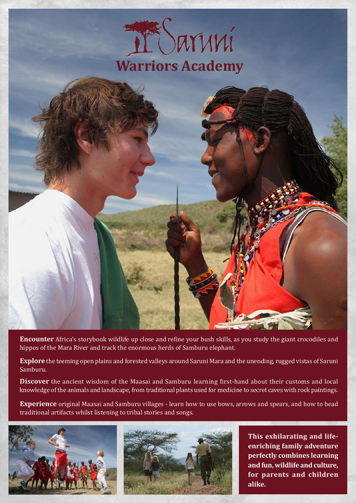



**Encounter** Africa's storybook wildlife up close and refine your bush skills, as you study the giant crocodiles and hippos of the Mara River and track the enormous herds of Samburu elephant.

**Explore** the teeming open plains and forested valleys around Saruni Mara and the unending, rugged vistas of Saruni Samburu.

**Discover** the ancient wisdom of the Maasai and Samburu learning first-hand about their customs and local knowledge of the animals and landscape, from traditional plants used for medicine to secret caves with rock paintings.

**Experience** original Maasai and Samburu villages - learn how to use bows, arrows and spears, and how to bead traditional artifacts whilst listening to tribal stories and songs.





**This exhilarating and lifeenriching family adventure perfectly combines learning and fun, wildlife and culture, for parents and children alike.**